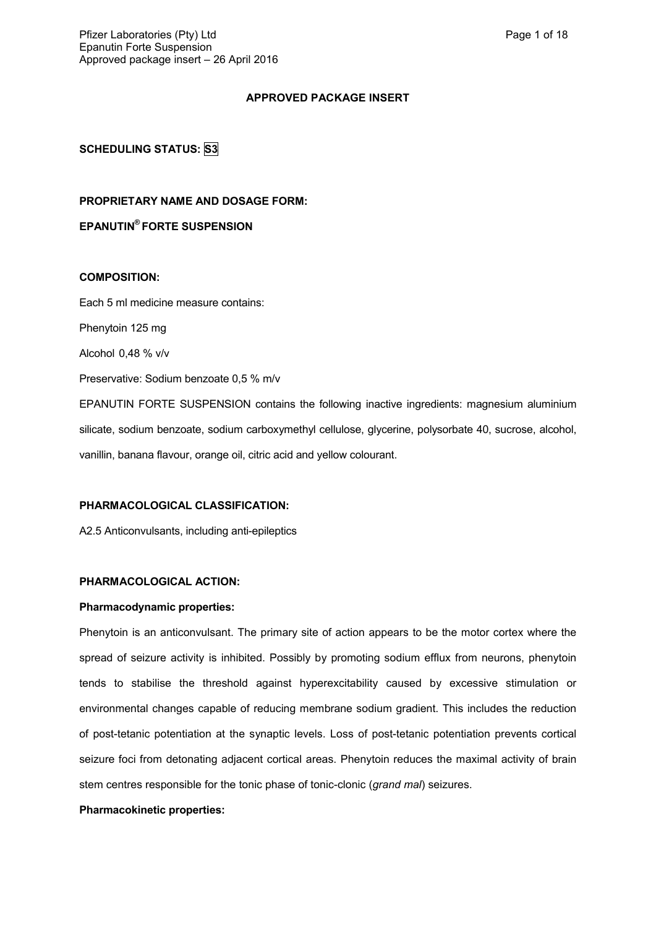## **APPROVED PACKAGE INSERT**

# **SCHEDULING STATUS: S3**

**PROPRIETARY NAME AND DOSAGE FORM:**

# **EPANUTIN® FORTE SUSPENSION**

## **COMPOSITION:**

Each 5 ml medicine measure contains: Phenytoin 125 mg Alcohol 0,48 % v/v Preservative: Sodium benzoate 0,5 % m/v EPANUTIN FORTE SUSPENSION contains the following inactive ingredients: magnesium aluminium silicate, sodium benzoate, sodium carboxymethyl cellulose, glycerine, polysorbate 40, sucrose, alcohol, vanillin, banana flavour, orange oil, citric acid and yellow colourant.

## **PHARMACOLOGICAL CLASSIFICATION:**

A2.5 Anticonvulsants, including anti-epileptics

### **PHARMACOLOGICAL ACTION:**

#### **Pharmacodynamic properties:**

Phenytoin is an anticonvulsant. The primary site of action appears to be the motor cortex where the spread of seizure activity is inhibited. Possibly by promoting sodium efflux from neurons, phenytoin tends to stabilise the threshold against hyperexcitability caused by excessive stimulation or environmental changes capable of reducing membrane sodium gradient. This includes the reduction of post-tetanic potentiation at the synaptic levels. Loss of post-tetanic potentiation prevents cortical seizure foci from detonating adjacent cortical areas. Phenytoin reduces the maximal activity of brain stem centres responsible for the tonic phase of tonic-clonic (*grand mal*) seizures.

#### **Pharmacokinetic properties:**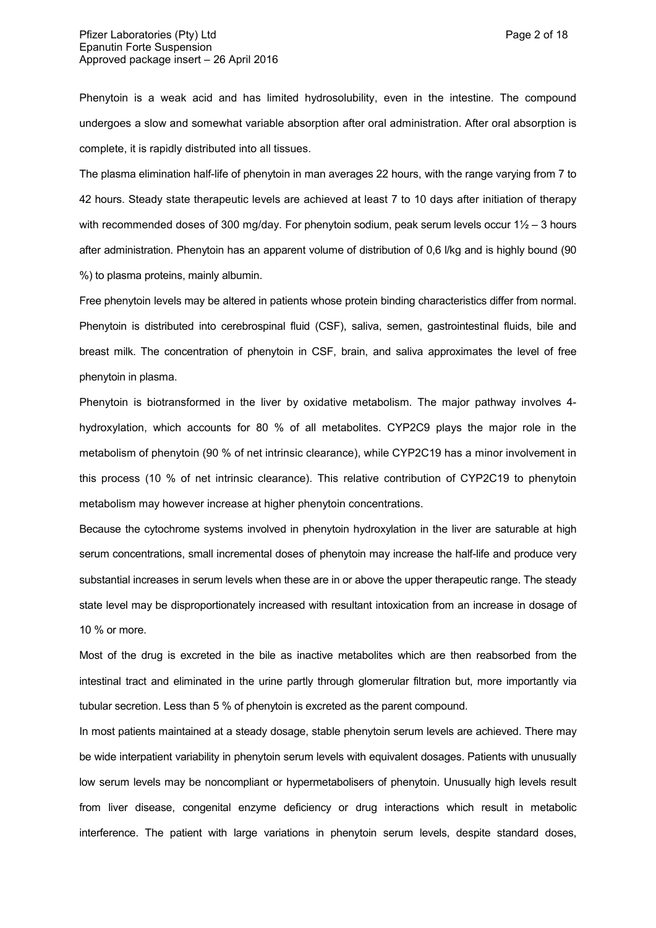## Pfizer Laboratories (Pty) Ltd **Philosopheratories** (Pty) Ctd **Page 2 of 18** Epanutin Forte Suspension Approved package insert – 26 April 2016

Phenytoin is a weak acid and has limited hydrosolubility, even in the intestine. The compound undergoes a slow and somewhat variable absorption after oral administration. After oral absorption is complete, it is rapidly distributed into all tissues.

The plasma elimination half-life of phenytoin in man averages 22 hours, with the range varying from 7 to 42 hours. Steady state therapeutic levels are achieved at least 7 to 10 days after initiation of therapy with recommended doses of 300 mg/day. For phenytoin sodium, peak serum levels occur  $1\frac{1}{2} - 3$  hours after administration. Phenytoin has an apparent volume of distribution of 0,6 l/kg and is highly bound (90 %) to plasma proteins, mainly albumin.

Free phenytoin levels may be altered in patients whose protein binding characteristics differ from normal. Phenytoin is distributed into cerebrospinal fluid (CSF), saliva, semen, gastrointestinal fluids, bile and breast milk. The concentration of phenytoin in CSF, brain, and saliva approximates the level of free phenytoin in plasma.

Phenytoin is biotransformed in the liver by oxidative metabolism. The major pathway involves 4 hydroxylation, which accounts for 80 % of all metabolites. CYP2C9 plays the major role in the metabolism of phenytoin (90 % of net intrinsic clearance), while CYP2C19 has a minor involvement in this process (10 % of net intrinsic clearance). This relative contribution of CYP2C19 to phenytoin metabolism may however increase at higher phenytoin concentrations.

Because the cytochrome systems involved in phenytoin hydroxylation in the liver are saturable at high serum concentrations, small incremental doses of phenytoin may increase the half-life and produce very substantial increases in serum levels when these are in or above the upper therapeutic range. The steady state level may be disproportionately increased with resultant intoxication from an increase in dosage of 10 % or more.

Most of the drug is excreted in the bile as inactive metabolites which are then reabsorbed from the intestinal tract and eliminated in the urine partly through glomerular filtration but, more importantly via tubular secretion. Less than 5 % of phenytoin is excreted as the parent compound.

In most patients maintained at a steady dosage, stable phenytoin serum levels are achieved. There may be wide interpatient variability in phenytoin serum levels with equivalent dosages. Patients with unusually low serum levels may be noncompliant or hypermetabolisers of phenytoin. Unusually high levels result from liver disease, congenital enzyme deficiency or drug interactions which result in metabolic interference. The patient with large variations in phenytoin serum levels, despite standard doses,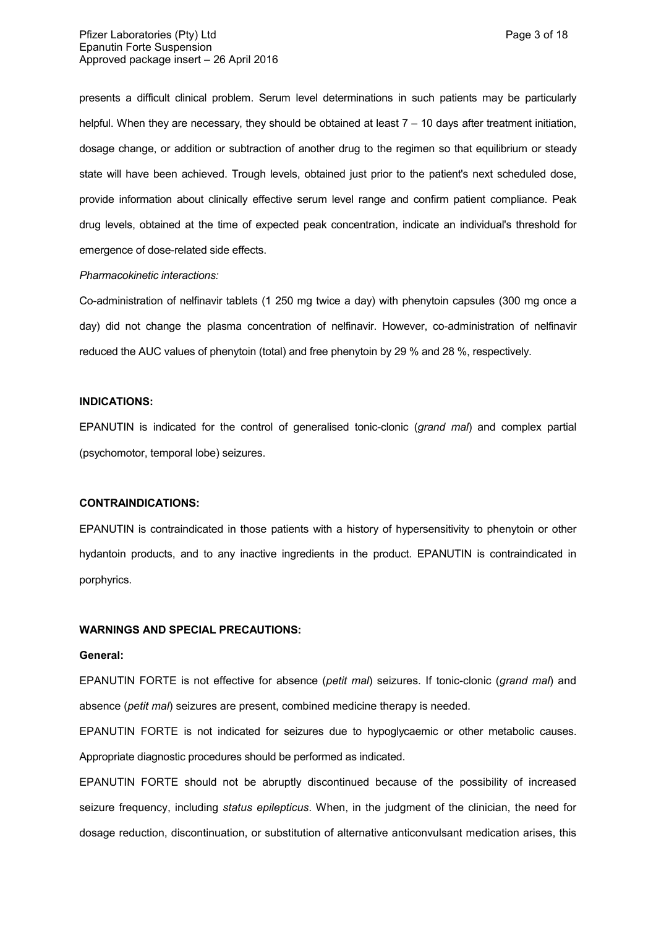## Pfizer Laboratories (Pty) Ltd **Philosopheratories** (Pty) Ltd **Page 3 of 18** Epanutin Forte Suspension Approved package insert – 26 April 2016

presents a difficult clinical problem. Serum level determinations in such patients may be particularly helpful. When they are necessary, they should be obtained at least  $7 - 10$  days after treatment initiation, dosage change, or addition or subtraction of another drug to the regimen so that equilibrium or steady state will have been achieved. Trough levels, obtained just prior to the patient's next scheduled dose, provide information about clinically effective serum level range and confirm patient compliance. Peak drug levels, obtained at the time of expected peak concentration, indicate an individual's threshold for emergence of dose-related side effects.

### *Pharmacokinetic interactions:*

Co-administration of nelfinavir tablets (1 250 mg twice a day) with phenytoin capsules (300 mg once a day) did not change the plasma concentration of nelfinavir. However, co-administration of nelfinavir reduced the AUC values of phenytoin (total) and free phenytoin by 29 % and 28 %, respectively.

#### **INDICATIONS:**

EPANUTIN is indicated for the control of generalised tonic-clonic (*grand mal*) and complex partial (psychomotor, temporal lobe) seizures.

#### **CONTRAINDICATIONS:**

EPANUTIN is contraindicated in those patients with a history of hypersensitivity to phenytoin or other hydantoin products, and to any inactive ingredients in the product. EPANUTIN is contraindicated in porphyrics.

#### **WARNINGS AND SPECIAL PRECAUTIONS:**

#### **General:**

EPANUTIN FORTE is not effective for absence (*petit mal*) seizures. If tonic-clonic (*grand mal*) and absence (*petit mal*) seizures are present, combined medicine therapy is needed.

EPANUTIN FORTE is not indicated for seizures due to hypoglycaemic or other metabolic causes. Appropriate diagnostic procedures should be performed as indicated.

EPANUTIN FORTE should not be abruptly discontinued because of the possibility of increased seizure frequency, including *status epilepticus*. When, in the judgment of the clinician, the need for dosage reduction, discontinuation, or substitution of alternative anticonvulsant medication arises, this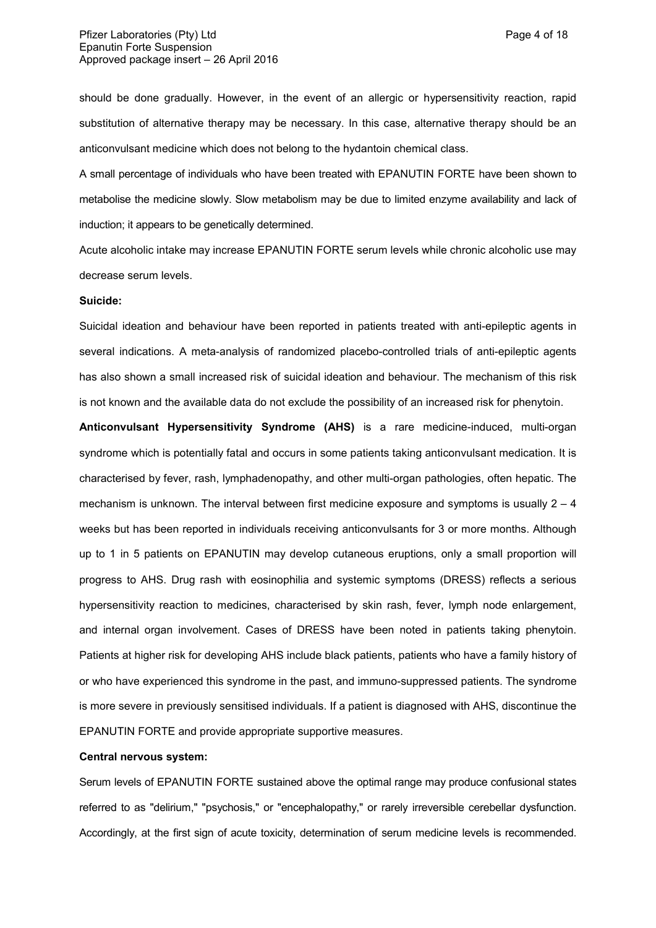should be done gradually. However, in the event of an allergic or hypersensitivity reaction, rapid substitution of alternative therapy may be necessary. In this case, alternative therapy should be an anticonvulsant medicine which does not belong to the hydantoin chemical class.

A small percentage of individuals who have been treated with EPANUTIN FORTE have been shown to metabolise the medicine slowly. Slow metabolism may be due to limited enzyme availability and lack of induction; it appears to be genetically determined.

Acute alcoholic intake may increase EPANUTIN FORTE serum levels while chronic alcoholic use may decrease serum levels.

### **Suicide:**

Suicidal ideation and behaviour have been reported in patients treated with anti-epileptic agents in several indications. A meta-analysis of randomized placebo-controlled trials of anti-epileptic agents has also shown a small increased risk of suicidal ideation and behaviour. The mechanism of this risk is not known and the available data do not exclude the possibility of an increased risk for phenytoin.

**Anticonvulsant Hypersensitivity Syndrome (AHS)** is a rare medicine-induced, multi-organ syndrome which is potentially fatal and occurs in some patients taking anticonvulsant medication. It is characterised by fever, rash, lymphadenopathy, and other multi-organ pathologies, often hepatic. The mechanism is unknown. The interval between first medicine exposure and symptoms is usually  $2 - 4$ weeks but has been reported in individuals receiving anticonvulsants for 3 or more months. Although up to 1 in 5 patients on EPANUTIN may develop cutaneous eruptions, only a small proportion will progress to AHS. Drug rash with eosinophilia and systemic symptoms (DRESS) reflects a serious hypersensitivity reaction to medicines, characterised by skin rash, fever, lymph node enlargement, and internal organ involvement. Cases of DRESS have been noted in patients taking phenytoin. Patients at higher risk for developing AHS include black patients, patients who have a family history of or who have experienced this syndrome in the past, and immuno-suppressed patients. The syndrome is more severe in previously sensitised individuals. If a patient is diagnosed with AHS, discontinue the EPANUTIN FORTE and provide appropriate supportive measures.

#### **Central nervous system:**

Serum levels of EPANUTIN FORTE sustained above the optimal range may produce confusional states referred to as "delirium," "psychosis," or "encephalopathy," or rarely irreversible cerebellar dysfunction. Accordingly, at the first sign of acute toxicity, determination of serum medicine levels is recommended.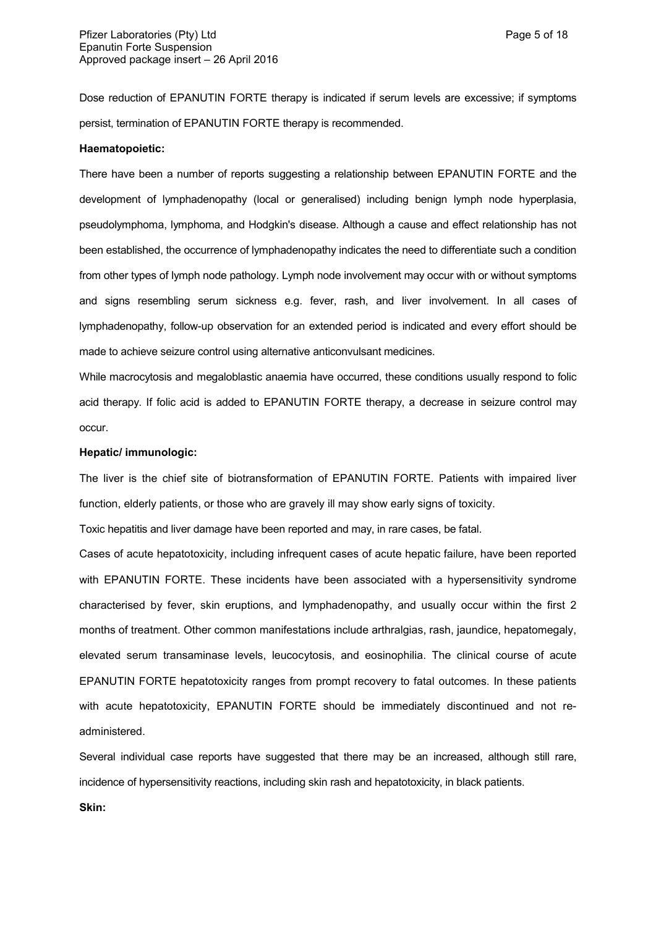Dose reduction of EPANUTIN FORTE therapy is indicated if serum levels are excessive; if symptoms persist, termination of EPANUTIN FORTE therapy is recommended.

#### **Haematopoietic:**

There have been a number of reports suggesting a relationship between EPANUTIN FORTE and the development of lymphadenopathy (local or generalised) including benign lymph node hyperplasia, pseudolymphoma, lymphoma, and Hodgkin's disease. Although a cause and effect relationship has not been established, the occurrence of lymphadenopathy indicates the need to differentiate such a condition from other types of lymph node pathology. Lymph node involvement may occur with or without symptoms and signs resembling serum sickness e.g. fever, rash, and liver involvement. In all cases of lymphadenopathy, follow-up observation for an extended period is indicated and every effort should be made to achieve seizure control using alternative anticonvulsant medicines.

While macrocytosis and megaloblastic anaemia have occurred, these conditions usually respond to folic acid therapy. If folic acid is added to EPANUTIN FORTE therapy, a decrease in seizure control may occur.

## **Hepatic/ immunologic:**

The liver is the chief site of biotransformation of EPANUTIN FORTE. Patients with impaired liver function, elderly patients, or those who are gravely ill may show early signs of toxicity.

Toxic hepatitis and liver damage have been reported and may, in rare cases, be fatal.

Cases of acute hepatotoxicity, including infrequent cases of acute hepatic failure, have been reported with EPANUTIN FORTE. These incidents have been associated with a hypersensitivity syndrome characterised by fever, skin eruptions, and lymphadenopathy, and usually occur within the first 2 months of treatment. Other common manifestations include arthralgias, rash, jaundice, hepatomegaly, elevated serum transaminase levels, leucocytosis, and eosinophilia. The clinical course of acute EPANUTIN FORTE hepatotoxicity ranges from prompt recovery to fatal outcomes. In these patients with acute hepatotoxicity, EPANUTIN FORTE should be immediately discontinued and not readministered.

Several individual case reports have suggested that there may be an increased, although still rare, incidence of hypersensitivity reactions, including skin rash and hepatotoxicity, in black patients.

**Skin:**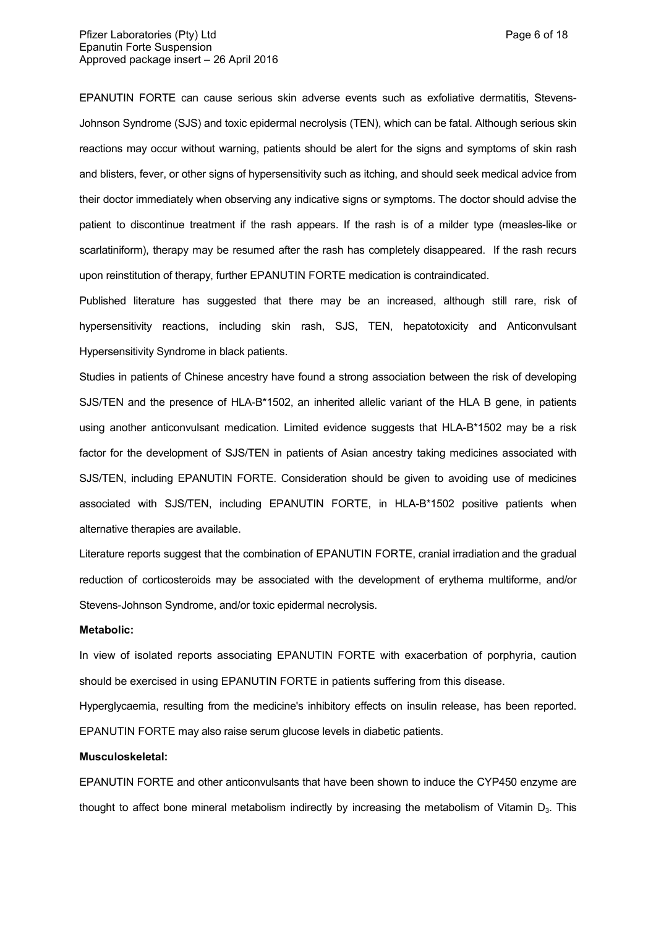EPANUTIN FORTE can cause serious skin adverse events such as exfoliative dermatitis, Stevens-Johnson Syndrome (SJS) and toxic epidermal necrolysis (TEN), which can be fatal. Although serious skin reactions may occur without warning, patients should be alert for the signs and symptoms of skin rash and blisters, fever, or other signs of hypersensitivity such as itching, and should seek medical advice from their doctor immediately when observing any indicative signs or symptoms. The doctor should advise the patient to discontinue treatment if the rash appears. If the rash is of a milder type (measles-like or scarlatiniform), therapy may be resumed after the rash has completely disappeared. If the rash recurs upon reinstitution of therapy, further EPANUTIN FORTE medication is contraindicated.

Published literature has suggested that there may be an increased, although still rare, risk of hypersensitivity reactions, including skin rash, SJS, TEN, hepatotoxicity and Anticonvulsant Hypersensitivity Syndrome in black patients.

Studies in patients of Chinese ancestry have found a strong association between the risk of developing SJS/TEN and the presence of HLA-B\*1502, an inherited allelic variant of the HLA B gene, in patients using another anticonvulsant medication. Limited evidence suggests that HLA-B\*1502 may be a risk factor for the development of SJS/TEN in patients of Asian ancestry taking medicines associated with SJS/TEN, including EPANUTIN FORTE. Consideration should be given to avoiding use of medicines associated with SJS/TEN, including EPANUTIN FORTE, in HLA-B\*1502 positive patients when alternative therapies are available.

Literature reports suggest that the combination of EPANUTIN FORTE, cranial irradiation and the gradual reduction of corticosteroids may be associated with the development of erythema multiforme, and/or Stevens-Johnson Syndrome, and/or toxic epidermal necrolysis.

#### **Metabolic:**

In view of isolated reports associating EPANUTIN FORTE with exacerbation of porphyria, caution should be exercised in using EPANUTIN FORTE in patients suffering from this disease.

Hyperglycaemia, resulting from the medicine's inhibitory effects on insulin release, has been reported. EPANUTIN FORTE may also raise serum glucose levels in diabetic patients.

#### **Musculoskeletal:**

EPANUTIN FORTE and other anticonvulsants that have been shown to induce the CYP450 enzyme are thought to affect bone mineral metabolism indirectly by increasing the metabolism of Vitamin  $D_3$ . This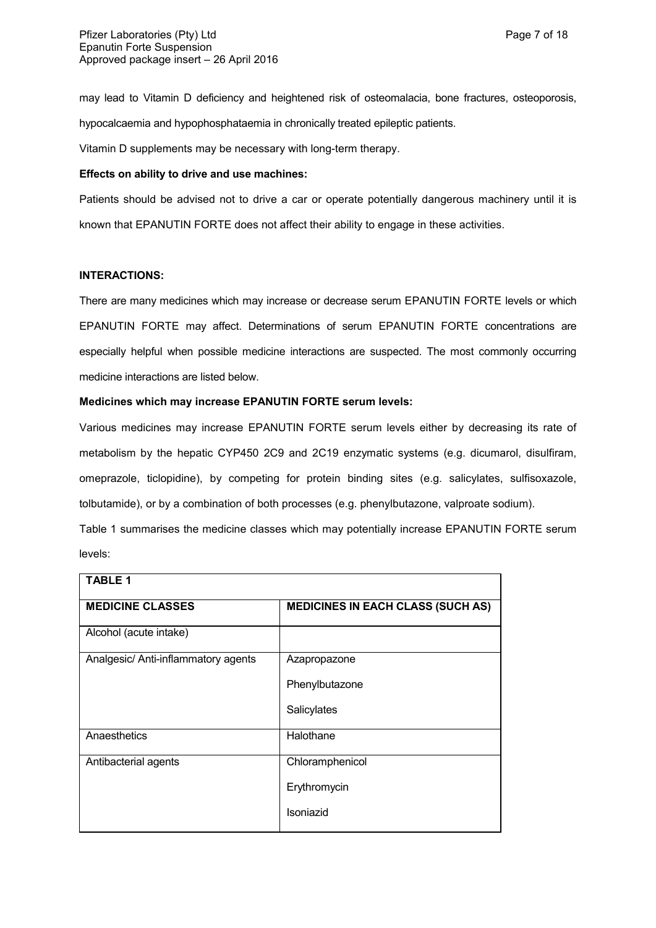may lead to Vitamin D deficiency and heightened risk of osteomalacia, bone fractures, osteoporosis, hypocalcaemia and hypophosphataemia in chronically treated epileptic patients.

Vitamin D supplements may be necessary with long-term therapy.

# **Effects on ability to drive and use machines:**

Patients should be advised not to drive a car or operate potentially dangerous machinery until it is known that EPANUTIN FORTE does not affect their ability to engage in these activities.

# **INTERACTIONS:**

There are many medicines which may increase or decrease serum EPANUTIN FORTE levels or which EPANUTIN FORTE may affect. Determinations of serum EPANUTIN FORTE concentrations are especially helpful when possible medicine interactions are suspected. The most commonly occurring medicine interactions are listed below.

# **Medicines which may increase EPANUTIN FORTE serum levels:**

Various medicines may increase EPANUTIN FORTE serum levels either by decreasing its rate of metabolism by the hepatic CYP450 2C9 and 2C19 enzymatic systems (e.g. dicumarol, disulfiram, omeprazole, ticlopidine), by competing for protein binding sites (e.g. salicylates, sulfisoxazole, tolbutamide), or by a combination of both processes (e.g. phenylbutazone, valproate sodium).

Table 1 summarises the medicine classes which may potentially increase EPANUTIN FORTE serum levels:

| <b>TABLE 1</b>                      |                                          |
|-------------------------------------|------------------------------------------|
| <b>MEDICINE CLASSES</b>             | <b>MEDICINES IN EACH CLASS (SUCH AS)</b> |
| Alcohol (acute intake)              |                                          |
| Analgesic/ Anti-inflammatory agents | Azapropazone                             |
|                                     | Phenylbutazone                           |
|                                     | Salicylates                              |
| Anaesthetics                        | Halothane                                |
| Antibacterial agents                | Chloramphenicol                          |
|                                     | Erythromycin                             |
|                                     | Isoniazid                                |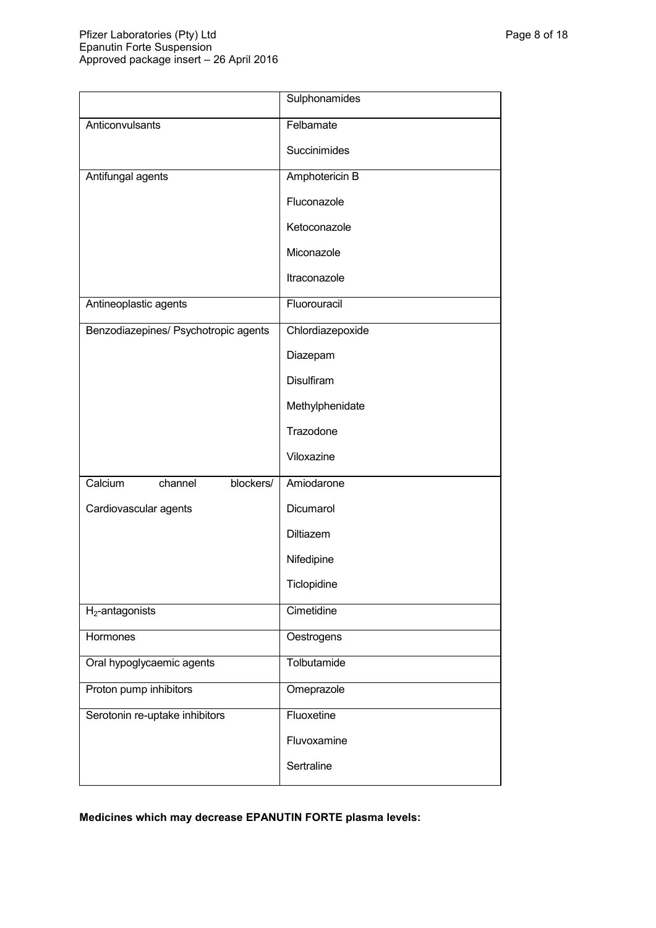|                                      | Sulphonamides      |
|--------------------------------------|--------------------|
| Anticonvulsants                      | Felbamate          |
|                                      | Succinimides       |
| Antifungal agents                    | Amphotericin B     |
|                                      | Fluconazole        |
|                                      | Ketoconazole       |
|                                      | Miconazole         |
|                                      | Itraconazole       |
| Antineoplastic agents                | Fluorouracil       |
| Benzodiazepines/ Psychotropic agents | Chlordiazepoxide   |
|                                      | Diazepam           |
|                                      | Disulfiram         |
|                                      | Methylphenidate    |
|                                      | Trazodone          |
|                                      | Viloxazine         |
| channel<br>blockers/<br>Calcium      | Amiodarone         |
| Cardiovascular agents                | Dicumarol          |
|                                      | Diltiazem          |
|                                      | Nifedipine         |
|                                      | Ticlopidine        |
| $H_2$ -antagonists                   | Cimetidine         |
| Hormones                             | Oestrogens         |
| Oral hypoglycaemic agents            | <b>Tolbutamide</b> |
| Proton pump inhibitors               | Omeprazole         |
| Serotonin re-uptake inhibitors       | Fluoxetine         |
|                                      | Fluvoxamine        |
|                                      | Sertraline         |
|                                      |                    |

**Medicines which may decrease EPANUTIN FORTE plasma levels:**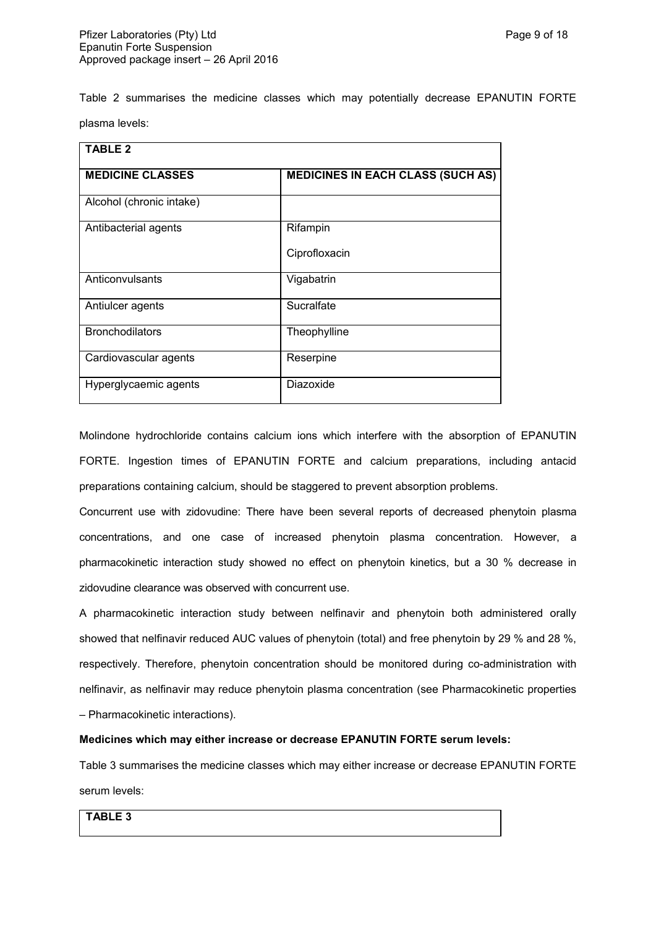Table 2 summarises the medicine classes which may potentially decrease EPANUTIN FORTE plasma levels:

| <b>TABLE 2</b>           |                                          |
|--------------------------|------------------------------------------|
| <b>MEDICINE CLASSES</b>  | <b>MEDICINES IN EACH CLASS (SUCH AS)</b> |
| Alcohol (chronic intake) |                                          |
| Antibacterial agents     | Rifampin                                 |
|                          | Ciprofloxacin                            |
| Anticonvulsants          | Vigabatrin                               |
| Antiulcer agents         | Sucralfate                               |
| <b>Bronchodilators</b>   | Theophylline                             |
| Cardiovascular agents    | Reserpine                                |
| Hyperglycaemic agents    | Diazoxide                                |

Molindone hydrochloride contains calcium ions which interfere with the absorption of EPANUTIN FORTE. Ingestion times of EPANUTIN FORTE and calcium preparations, including antacid preparations containing calcium, should be staggered to prevent absorption problems.

Concurrent use with zidovudine: There have been several reports of decreased phenytoin plasma concentrations, and one case of increased phenytoin plasma concentration. However, a pharmacokinetic interaction study showed no effect on phenytoin kinetics, but a 30 % decrease in zidovudine clearance was observed with concurrent use.

A pharmacokinetic interaction study between nelfinavir and phenytoin both administered orally showed that nelfinavir reduced AUC values of phenytoin (total) and free phenytoin by 29 % and 28 %, respectively. Therefore, phenytoin concentration should be monitored during co-administration with nelfinavir, as nelfinavir may reduce phenytoin plasma concentration (see Pharmacokinetic properties – Pharmacokinetic interactions).

# **Medicines which may either increase or decrease EPANUTIN FORTE serum levels:**

Table 3 summarises the medicine classes which may either increase or decrease EPANUTIN FORTE serum levels:

# **TABLE 3**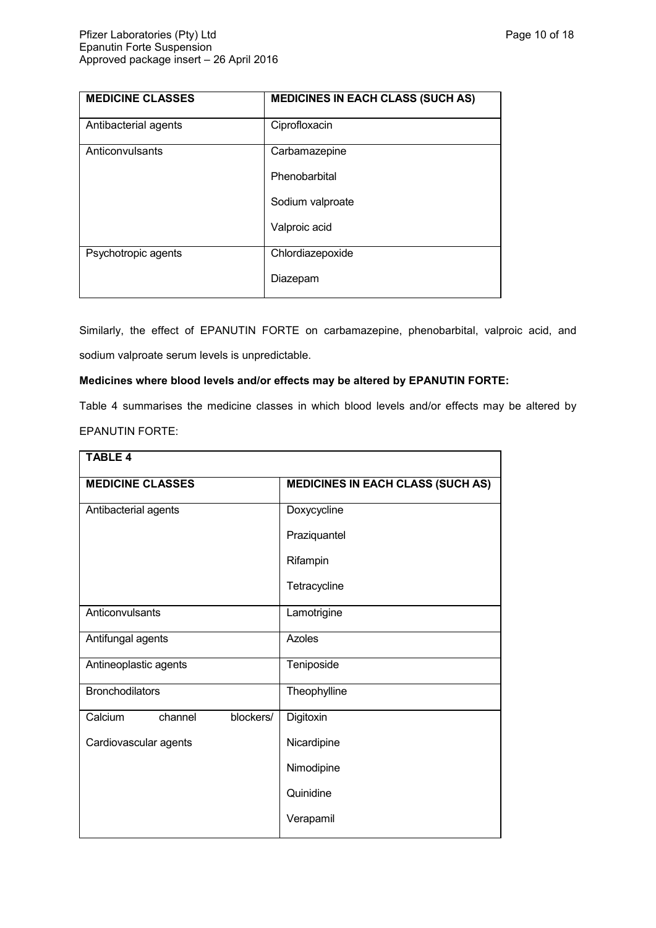| <b>MEDICINE CLASSES</b> | <b>MEDICINES IN EACH CLASS (SUCH AS)</b> |
|-------------------------|------------------------------------------|
| Antibacterial agents    | Ciprofloxacin                            |
| Anticonvulsants         | Carbamazepine                            |
|                         | Phenobarbital                            |
|                         | Sodium valproate                         |
|                         | Valproic acid                            |
| Psychotropic agents     | Chlordiazepoxide                         |
|                         | Diazepam                                 |

Similarly, the effect of EPANUTIN FORTE on carbamazepine, phenobarbital, valproic acid, and sodium valproate serum levels is unpredictable.

# **Medicines where blood levels and/or effects may be altered by EPANUTIN FORTE:**

Table 4 summarises the medicine classes in which blood levels and/or effects may be altered by EPANUTIN FORTE:

| <b>TABLE 4</b>                  |                                          |
|---------------------------------|------------------------------------------|
| <b>MEDICINE CLASSES</b>         | <b>MEDICINES IN EACH CLASS (SUCH AS)</b> |
| Antibacterial agents            | Doxycycline                              |
|                                 | Praziquantel                             |
|                                 | Rifampin                                 |
|                                 | Tetracycline                             |
| Anticonvulsants                 | Lamotrigine                              |
| Antifungal agents               | Azoles                                   |
| Antineoplastic agents           | Teniposide                               |
| <b>Bronchodilators</b>          | Theophylline                             |
| Calcium<br>channel<br>blockers/ | Digitoxin                                |
| Cardiovascular agents           | Nicardipine                              |
|                                 | Nimodipine                               |
|                                 | Quinidine                                |
|                                 | Verapamil                                |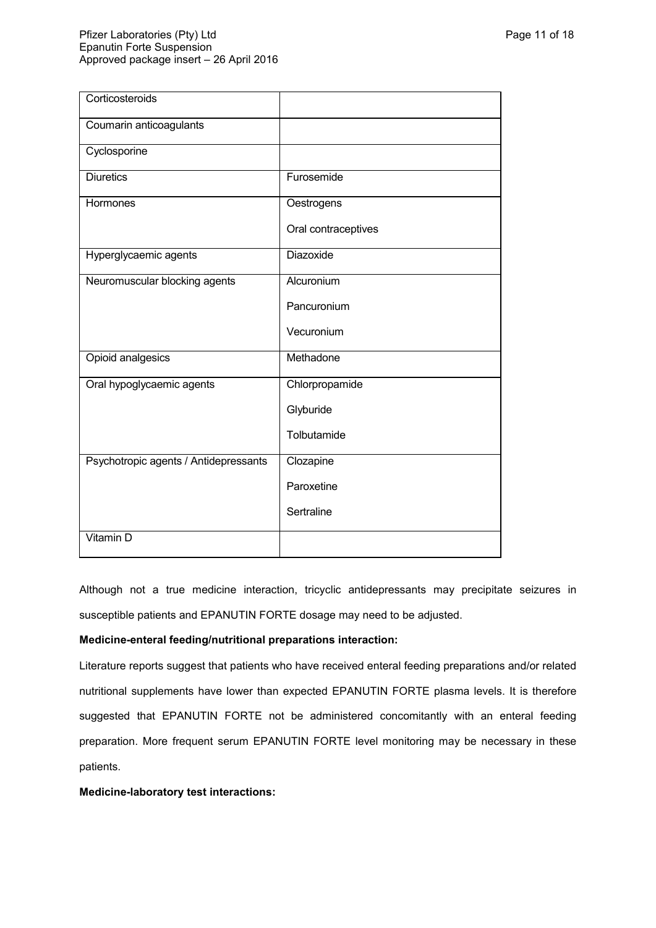| Corticosteroids                       |                     |
|---------------------------------------|---------------------|
| Coumarin anticoagulants               |                     |
| Cyclosporine                          |                     |
| <b>Diuretics</b>                      | Furosemide          |
| Hormones                              | Oestrogens          |
|                                       | Oral contraceptives |
| Hyperglycaemic agents                 | Diazoxide           |
| Neuromuscular blocking agents         | Alcuronium          |
|                                       | Pancuronium         |
|                                       | Vecuronium          |
| Opioid analgesics                     | Methadone           |
| Oral hypoglycaemic agents             | Chlorpropamide      |
|                                       | Glyburide           |
|                                       | Tolbutamide         |
| Psychotropic agents / Antidepressants | Clozapine           |
|                                       | Paroxetine          |
|                                       | Sertraline          |
| <b>Vitamin D</b>                      |                     |

Although not a true medicine interaction, tricyclic antidepressants may precipitate seizures in susceptible patients and EPANUTIN FORTE dosage may need to be adjusted.

## **Medicine-enteral feeding/nutritional preparations interaction:**

Literature reports suggest that patients who have received enteral feeding preparations and/or related nutritional supplements have lower than expected EPANUTIN FORTE plasma levels. It is therefore suggested that EPANUTIN FORTE not be administered concomitantly with an enteral feeding preparation. More frequent serum EPANUTIN FORTE level monitoring may be necessary in these patients.

# **Medicine-laboratory test interactions:**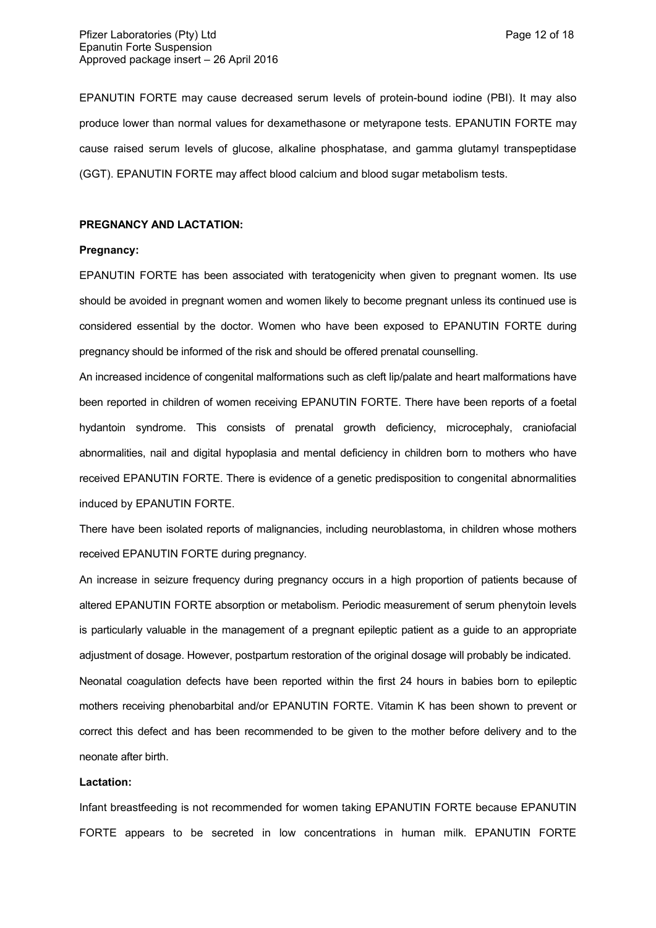EPANUTIN FORTE may cause decreased serum levels of protein-bound iodine (PBI). It may also produce lower than normal values for dexamethasone or metyrapone tests. EPANUTIN FORTE may cause raised serum levels of glucose, alkaline phosphatase, and gamma glutamyl transpeptidase (GGT). EPANUTIN FORTE may affect blood calcium and blood sugar metabolism tests.

## **PREGNANCY AND LACTATION:**

#### **Pregnancy:**

EPANUTIN FORTE has been associated with teratogenicity when given to pregnant women. Its use should be avoided in pregnant women and women likely to become pregnant unless its continued use is considered essential by the doctor. Women who have been exposed to EPANUTIN FORTE during pregnancy should be informed of the risk and should be offered prenatal counselling.

An increased incidence of congenital malformations such as cleft lip/palate and heart malformations have been reported in children of women receiving EPANUTIN FORTE. There have been reports of a foetal hydantoin syndrome. This consists of prenatal growth deficiency, microcephaly, craniofacial abnormalities, nail and digital hypoplasia and mental deficiency in children born to mothers who have received EPANUTIN FORTE. There is evidence of a genetic predisposition to congenital abnormalities induced by EPANUTIN FORTE.

There have been isolated reports of malignancies, including neuroblastoma, in children whose mothers received EPANUTIN FORTE during pregnancy.

An increase in seizure frequency during pregnancy occurs in a high proportion of patients because of altered EPANUTIN FORTE absorption or metabolism. Periodic measurement of serum phenytoin levels is particularly valuable in the management of a pregnant epileptic patient as a guide to an appropriate adjustment of dosage. However, postpartum restoration of the original dosage will probably be indicated. Neonatal coagulation defects have been reported within the first 24 hours in babies born to epileptic mothers receiving phenobarbital and/or EPANUTIN FORTE. Vitamin K has been shown to prevent or correct this defect and has been recommended to be given to the mother before delivery and to the neonate after birth.

#### **Lactation:**

Infant breastfeeding is not recommended for women taking EPANUTIN FORTE because EPANUTIN FORTE appears to be secreted in low concentrations in human milk. EPANUTIN FORTE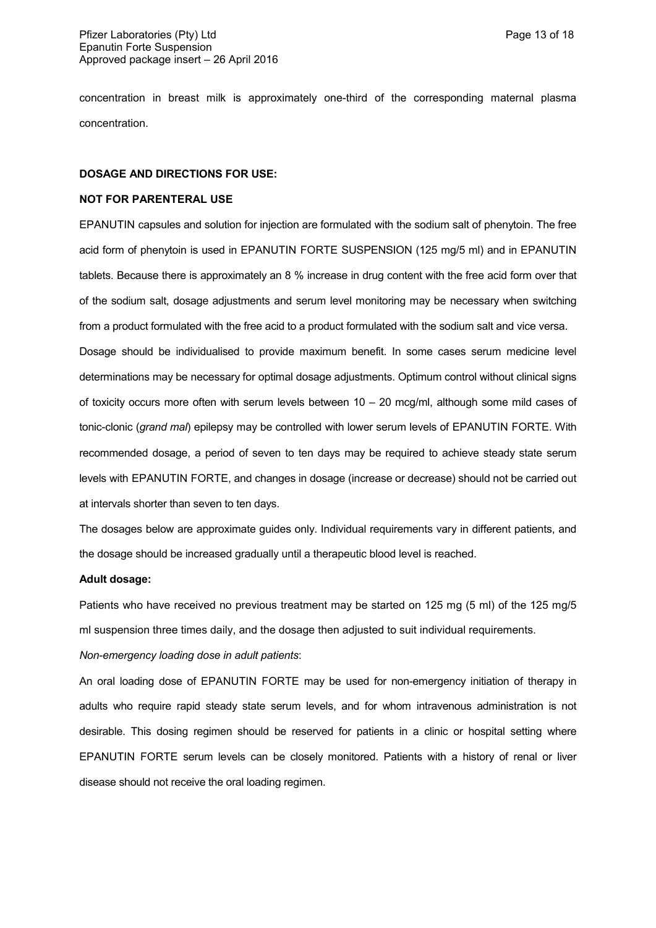concentration in breast milk is approximately one-third of the corresponding maternal plasma concentration.

#### **DOSAGE AND DIRECTIONS FOR USE:**

## **NOT FOR PARENTERAL USE**

EPANUTIN capsules and solution for injection are formulated with the sodium salt of phenytoin. The free acid form of phenytoin is used in EPANUTIN FORTE SUSPENSION (125 mg/5 ml) and in EPANUTIN tablets. Because there is approximately an 8 % increase in drug content with the free acid form over that of the sodium salt, dosage adjustments and serum level monitoring may be necessary when switching from a product formulated with the free acid to a product formulated with the sodium salt and vice versa.

Dosage should be individualised to provide maximum benefit. In some cases serum medicine level determinations may be necessary for optimal dosage adjustments. Optimum control without clinical signs of toxicity occurs more often with serum levels between 10 – 20 mcg/ml, although some mild cases of tonic-clonic (*grand mal*) epilepsy may be controlled with lower serum levels of EPANUTIN FORTE. With recommended dosage, a period of seven to ten days may be required to achieve steady state serum levels with EPANUTIN FORTE, and changes in dosage (increase or decrease) should not be carried out at intervals shorter than seven to ten days.

The dosages below are approximate guides only. Individual requirements vary in different patients, and the dosage should be increased gradually until a therapeutic blood level is reached.

#### **Adult dosage:**

Patients who have received no previous treatment may be started on 125 mg (5 ml) of the 125 mg/5 ml suspension three times daily, and the dosage then adjusted to suit individual requirements.

## *Non-emergency loading dose in adult patients*:

An oral loading dose of EPANUTIN FORTE may be used for non-emergency initiation of therapy in adults who require rapid steady state serum levels, and for whom intravenous administration is not desirable. This dosing regimen should be reserved for patients in a clinic or hospital setting where EPANUTIN FORTE serum levels can be closely monitored. Patients with a history of renal or liver disease should not receive the oral loading regimen.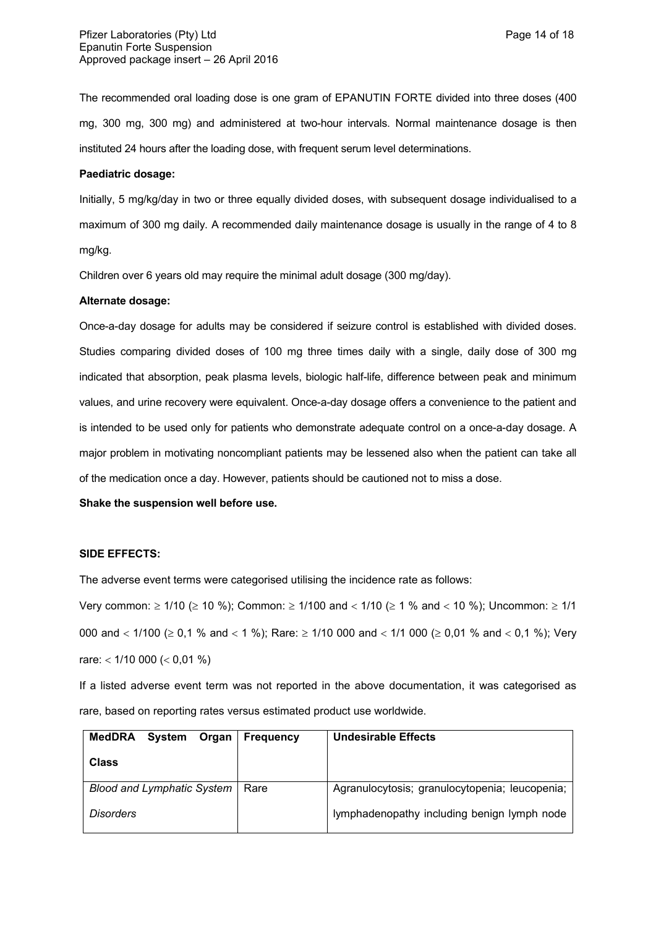The recommended oral loading dose is one gram of EPANUTIN FORTE divided into three doses (400 mg, 300 mg, 300 mg) and administered at two-hour intervals. Normal maintenance dosage is then instituted 24 hours after the loading dose, with frequent serum level determinations.

## **Paediatric dosage:**

Initially, 5 mg/kg/day in two or three equally divided doses, with subsequent dosage individualised to a maximum of 300 mg daily. A recommended daily maintenance dosage is usually in the range of 4 to 8 mg/kg.

Children over 6 years old may require the minimal adult dosage (300 mg/day).

### **Alternate dosage:**

Once-a-day dosage for adults may be considered if seizure control is established with divided doses. Studies comparing divided doses of 100 mg three times daily with a single, daily dose of 300 mg indicated that absorption, peak plasma levels, biologic half-life, difference between peak and minimum values, and urine recovery were equivalent. Once-a-day dosage offers a convenience to the patient and is intended to be used only for patients who demonstrate adequate control on a once-a-day dosage. A major problem in motivating noncompliant patients may be lessened also when the patient can take all of the medication once a day. However, patients should be cautioned not to miss a dose.

**Shake the suspension well before use.**

### **SIDE EFFECTS:**

The adverse event terms were categorised utilising the incidence rate as follows:

Very common:  $\geq 1/10$  ( $\geq 10$  %); Common:  $\geq 1/100$  and  $\lt 1/10$  ( $\geq 1$  % and  $\lt 10$  %); Uncommon:  $\geq 1/1$ 000 and  $< 1/100$  ( $\geq 0.1$  % and  $< 1$  %); Rare:  $\geq 1/10$  000 and  $< 1/1$  000 ( $\geq 0.01$  % and  $< 0.1$  %); Very rare:  $<$  1/10 000 ( $<$  0,01 %)

If a listed adverse event term was not reported in the above documentation, it was categorised as rare, based on reporting rates versus estimated product use worldwide.

| MedDRA<br>System<br>Organ         | <b>Frequency</b> | Undesirable Effects                            |
|-----------------------------------|------------------|------------------------------------------------|
| <b>Class</b>                      |                  |                                                |
| <b>Blood and Lymphatic System</b> | Rare             | Agranulocytosis; granulocytopenia; leucopenia; |
| <b>Disorders</b>                  |                  | lymphadenopathy including benign lymph node    |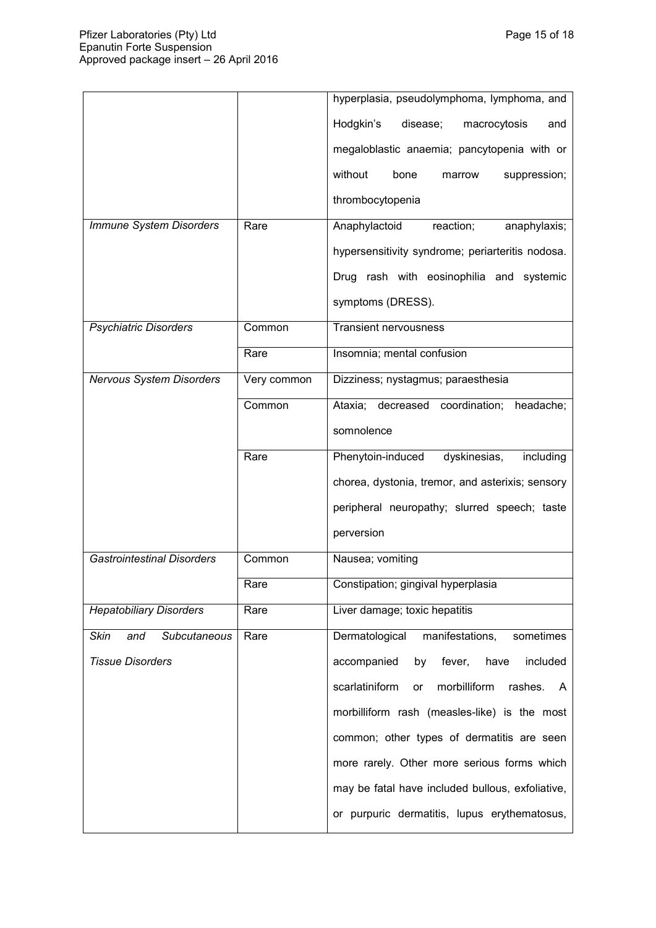|                                   |             | hyperplasia, pseudolymphoma, lymphoma, and        |
|-----------------------------------|-------------|---------------------------------------------------|
|                                   |             | Hodgkin's<br>disease;<br>macrocytosis<br>and      |
|                                   |             | megaloblastic anaemia; pancytopenia with or       |
|                                   |             | without<br>bone<br>suppression;<br>marrow         |
|                                   |             | thrombocytopenia                                  |
| <b>Immune System Disorders</b>    | Rare        | Anaphylactoid<br>reaction;<br>anaphylaxis;        |
|                                   |             | hypersensitivity syndrome; periarteritis nodosa.  |
|                                   |             | Drug rash with eosinophilia and systemic          |
|                                   |             | symptoms (DRESS).                                 |
| <b>Psychiatric Disorders</b>      | Common      | <b>Transient nervousness</b>                      |
|                                   | Rare        | Insomnia; mental confusion                        |
| <b>Nervous System Disorders</b>   | Very common | Dizziness; nystagmus; paraesthesia                |
|                                   | Common      | Ataxia; decreased coordination; headache;         |
|                                   |             | somnolence                                        |
|                                   | Rare        | dyskinesias,<br>Phenytoin-induced<br>including    |
|                                   |             | chorea, dystonia, tremor, and asterixis; sensory  |
|                                   |             | peripheral neuropathy; slurred speech; taste      |
|                                   |             | perversion                                        |
| <b>Gastrointestinal Disorders</b> | Common      | Nausea; vomiting                                  |
|                                   | Rare        | Constipation; gingival hyperplasia                |
| <b>Hepatobiliary Disorders</b>    | Rare        | Liver damage; toxic hepatitis                     |
| Subcutaneous<br>Skin<br>and       | Rare        | Dermatological<br>manifestations,<br>sometimes    |
| <b>Tissue Disorders</b>           |             | accompanied<br>fever,<br>have<br>included<br>by   |
|                                   |             | scarlatiniform<br>morbilliform<br>rashes. A<br>or |
|                                   |             | morbilliform rash (measles-like) is the most      |
|                                   |             | common; other types of dermatitis are seen        |
|                                   |             | more rarely. Other more serious forms which       |
|                                   |             | may be fatal have included bullous, exfoliative,  |
|                                   |             | or purpuric dermatitis, lupus erythematosus,      |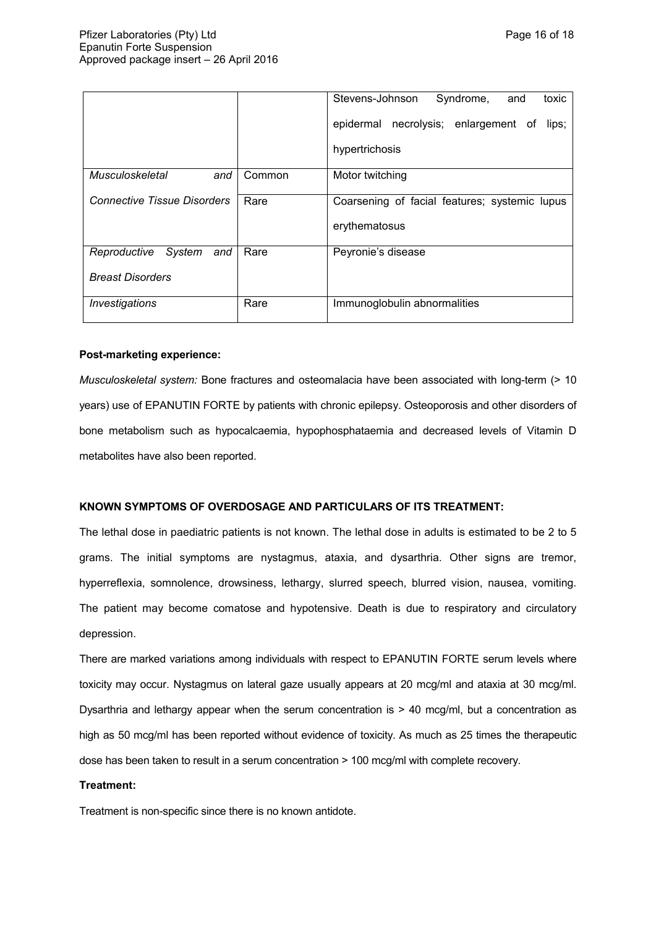|                                    |        | Stevens-Johnson<br>Syndrome, and<br>toxic     |
|------------------------------------|--------|-----------------------------------------------|
|                                    |        | epidermal necrolysis; enlargement of<br>lips; |
|                                    |        | hypertrichosis                                |
| Musculoskeletal<br>and             | Common | Motor twitching                               |
| <b>Connective Tissue Disorders</b> | Rare   | Coarsening of facial features; systemic lupus |
|                                    |        | erythematosus                                 |
| Reproductive<br>System<br>and      | Rare   | Peyronie's disease                            |
| <b>Breast Disorders</b>            |        |                                               |
| Investigations                     | Rare   | Immunoglobulin abnormalities                  |

## **Post-marketing experience:**

*Musculoskeletal system:* Bone fractures and osteomalacia have been associated with long-term (> 10 years) use of EPANUTIN FORTE by patients with chronic epilepsy. Osteoporosis and other disorders of bone metabolism such as hypocalcaemia, hypophosphataemia and decreased levels of Vitamin D metabolites have also been reported.

## **KNOWN SYMPTOMS OF OVERDOSAGE AND PARTICULARS OF ITS TREATMENT:**

The lethal dose in paediatric patients is not known. The lethal dose in adults is estimated to be 2 to 5 grams. The initial symptoms are nystagmus, ataxia, and dysarthria. Other signs are tremor, hyperreflexia, somnolence, drowsiness, lethargy, slurred speech, blurred vision, nausea, vomiting. The patient may become comatose and hypotensive. Death is due to respiratory and circulatory depression.

There are marked variations among individuals with respect to EPANUTIN FORTE serum levels where toxicity may occur. Nystagmus on lateral gaze usually appears at 20 mcg/ml and ataxia at 30 mcg/ml. Dysarthria and lethargy appear when the serum concentration is > 40 mcg/ml, but a concentration as high as 50 mcg/ml has been reported without evidence of toxicity. As much as 25 times the therapeutic dose has been taken to result in a serum concentration > 100 mcg/ml with complete recovery.

#### **Treatment:**

Treatment is non-specific since there is no known antidote.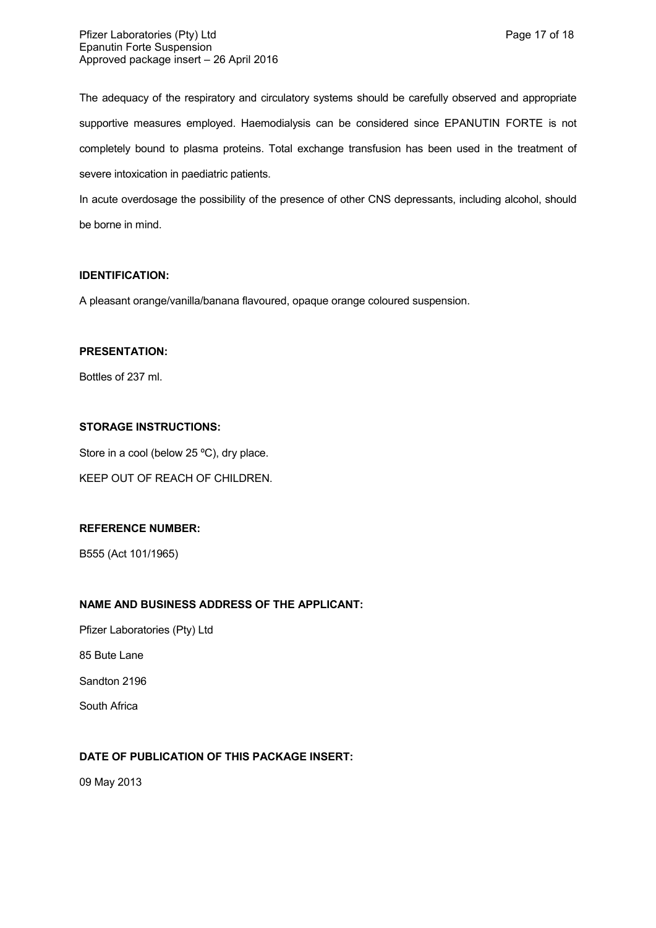## Pfizer Laboratories (Pty) Ltd **Philosopheratories** (Pty) Ltd **Page 17 of 18** Epanutin Forte Suspension Approved package insert – 26 April 2016

The adequacy of the respiratory and circulatory systems should be carefully observed and appropriate supportive measures employed. Haemodialysis can be considered since EPANUTIN FORTE is not completely bound to plasma proteins. Total exchange transfusion has been used in the treatment of severe intoxication in paediatric patients.

In acute overdosage the possibility of the presence of other CNS depressants, including alcohol, should be borne in mind.

# **IDENTIFICATION:**

A pleasant orange/vanilla/banana flavoured, opaque orange coloured suspension.

# **PRESENTATION:**

Bottles of 237 ml.

# **STORAGE INSTRUCTIONS:**

Store in a cool (below 25 °C), dry place. KEEP OUT OF REACH OF CHILDREN.

# **REFERENCE NUMBER:**

B555 (Act 101/1965)

# **NAME AND BUSINESS ADDRESS OF THE APPLICANT:**

Pfizer Laboratories (Pty) Ltd

85 Bute Lane

Sandton 2196

South Africa

# **DATE OF PUBLICATION OF THIS PACKAGE INSERT:**

09 May 2013